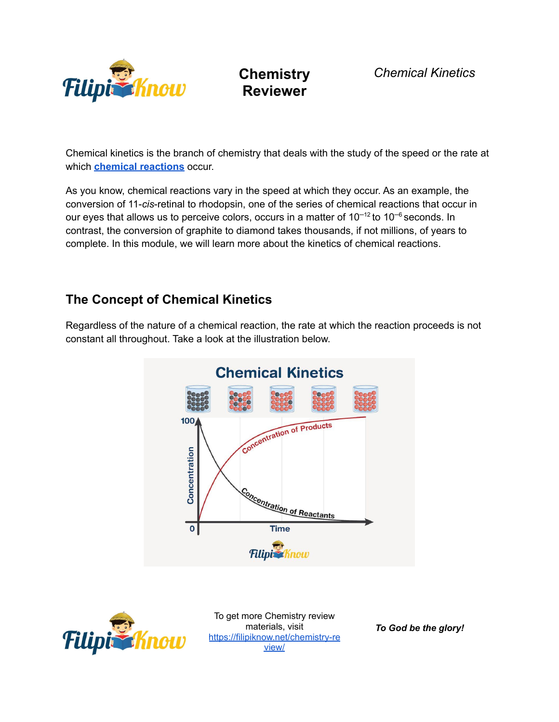

*Chemical Kinetics*

Chemical kinetics is the branch of chemistry that deals with the study of the speed or the rate at which **chemical [reactions](https://filipiknow.net/chemical-reaction-reactant-and-product/)** occur.

As you know, chemical reactions vary in the speed at which they occur. As an example, the conversion of 11-*cis*-retinal to rhodopsin, one of the series of chemical reactions that occur in our eyes that allows us to perceive colors, occurs in a matter of  $10^{-12}$  to  $10^{-6}$  seconds. In contrast, the conversion of graphite to diamond takes thousands, if not millions, of years to complete. In this module, we will learn more about the kinetics of chemical reactions.

### **The Concept of Chemical Kinetics**

Regardless of the nature of a chemical reaction, the rate at which the reaction proceeds is not constant all throughout. Take a look at the illustration below.





To get more Chemistry review materials, visit [https://filipiknow.net/chemistry-re](https://filipiknow.net/chemistry-review/) [view/](https://filipiknow.net/chemistry-review/)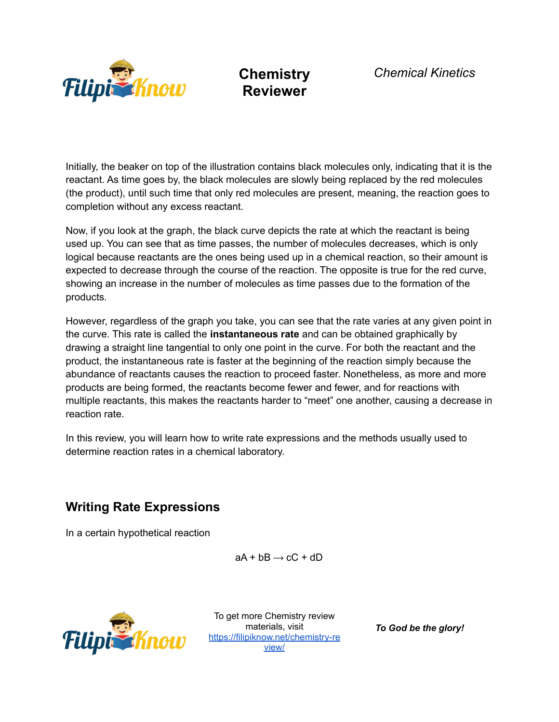

Initially, the beaker on top of the illustration contains black molecules only, indicating that it is the reactant. As time goes by, the black molecules are slowly being replaced by the red molecules (the product), until such time that only red molecules are present, meaning, the reaction goes to completion without any excess reactant.

Now, if you look at the graph, the black curve depicts the rate at which the reactant is being used up. You can see that as time passes, the number of molecules decreases, which is only logical because reactants are the ones being used up in a chemical reaction, so their amount is expected to decrease through the course of the reaction. The opposite is true for the red curve, showing an increase in the number of molecules as time passes due to the formation of the products.

However, regardless of the graph you take, you can see that the rate varies at any given point in the curve. This rate is called the **instantaneous rate** and can be obtained graphically by drawing a straight line tangential to only one point in the curve. For both the reactant and the product, the instantaneous rate is faster at the beginning of the reaction simply because the abundance of reactants causes the reaction to proceed faster. Nonetheless, as more and more products are being formed, the reactants become fewer and fewer, and for reactions with multiple reactants, this makes the reactants harder to "meet" one another, causing a decrease in reaction rate.

In this review, you will learn how to write rate expressions and the methods usually used to determine reaction rates in a chemical laboratory.

## **Writing Rate Expressions**

In a certain hypothetical reaction

 $aA + bB \rightarrow cC + dD$ 



To get more Chemistry review materials, visit [https://filipiknow.net/chemistry-re](https://filipiknow.net/chemistry-review/) [view/](https://filipiknow.net/chemistry-review/)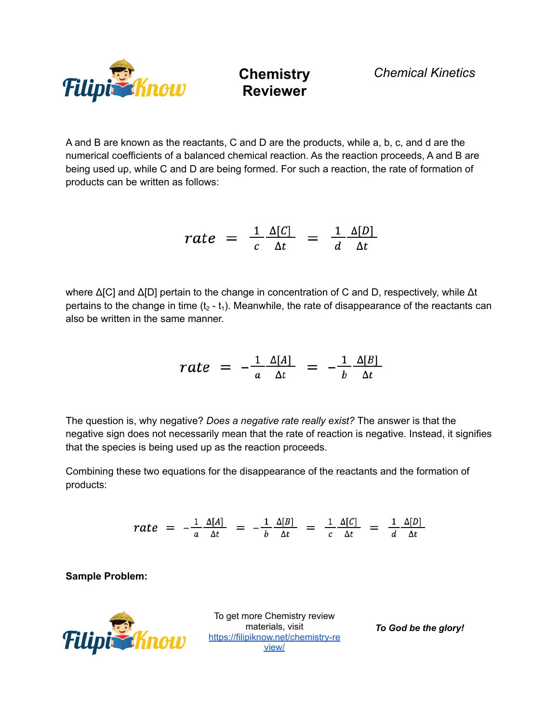

A and B are known as the reactants, C and D are the products, while a, b, c, and d are the numerical coefficients of a balanced chemical reaction. As the reaction proceeds, A and B are being used up, while C and D are being formed. For such a reaction, the rate of formation of products can be written as follows:

$$
rate = \frac{1}{c} \frac{\Delta[C]}{\Delta t} = \frac{1}{d} \frac{\Delta[D]}{\Delta t}
$$

where Δ[C] and Δ[D] pertain to the change in concentration of C and D, respectively, while Δt pertains to the change in time ( $t_2$  -  $t_1$ ). Meanwhile, the rate of disappearance of the reactants can also be written in the same manner.

$$
rate = -\frac{1}{a} \frac{\Delta[A]}{\Delta t} = -\frac{1}{b} \frac{\Delta[B]}{\Delta t}
$$

The question is, why negative? *Does a negative rate really exist?* The answer is that the negative sign does not necessarily mean that the rate of reaction is negative. Instead, it signifies that the species is being used up as the reaction proceeds.

Combining these two equations for the disappearance of the reactants and the formation of products:

$$
rate = -\frac{1}{a} \frac{\Delta[A]}{\Delta t} = -\frac{1}{b} \frac{\Delta[B]}{\Delta t} = \frac{1}{c} \frac{\Delta[C]}{\Delta t} = \frac{1}{d} \frac{\Delta[D]}{\Delta t}
$$

**Sample Problem:**



To get more Chemistry review materials, visit [https://filipiknow.net/chemistry-re](https://filipiknow.net/chemistry-review/) [view/](https://filipiknow.net/chemistry-review/)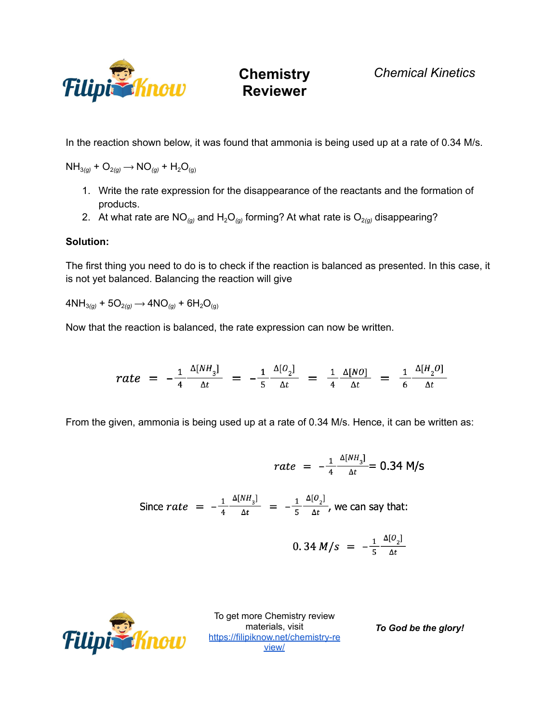

*Chemical Kinetics*

In the reaction shown below, it was found that ammonia is being used up at a rate of 0.34 M/s.

 $NH_{3(q)} + O_{2(q)} \rightarrow NO_{(q)} + H_2O_{(q)}$ 

- 1. Write the rate expression for the disappearance of the reactants and the formation of products.
- 2. At what rate are NO<sub>(g)</sub> and H<sub>2</sub>O<sub>(g)</sub> forming? At what rate is O<sub>2(g)</sub> disappearing?

#### **Solution:**

The first thing you need to do is to check if the reaction is balanced as presented. In this case, it is not yet balanced. Balancing the reaction will give

 $4NH_{3(g)} + 5O_{2(g)} \rightarrow 4NO_{(g)} + 6H_2O_{(g)}$ 

Now that the reaction is balanced, the rate expression can now be written.

$$
rate = -\frac{1}{4} \frac{\Delta[NH_3]}{\Delta t} = -\frac{1}{5} \frac{\Delta[0_2]}{\Delta t} = \frac{1}{4} \frac{\Delta[NO]}{\Delta t} = \frac{1}{6} \frac{\Delta[H_2O]}{\Delta t}
$$

From the given, ammonia is being used up at a rate of 0.34 M/s. Hence, it can be written as:

$$
rate = -\frac{1}{4} \frac{\Delta[NH_3]}{\Delta t} = 0.34 \text{ M/s}
$$
  
Since  $rate = -\frac{1}{4} \frac{\Delta[NH_3]}{\Delta t} = -\frac{1}{5} \frac{\Delta[O_2]}{\Delta t}$ , we can say that:  

$$
0.34 \text{ M/s} = -\frac{1}{5} \frac{\Delta[O_2]}{\Delta t}
$$



To get more Chemistry review materials, visit [https://filipiknow.net/chemistry-re](https://filipiknow.net/chemistry-review/) [view/](https://filipiknow.net/chemistry-review/)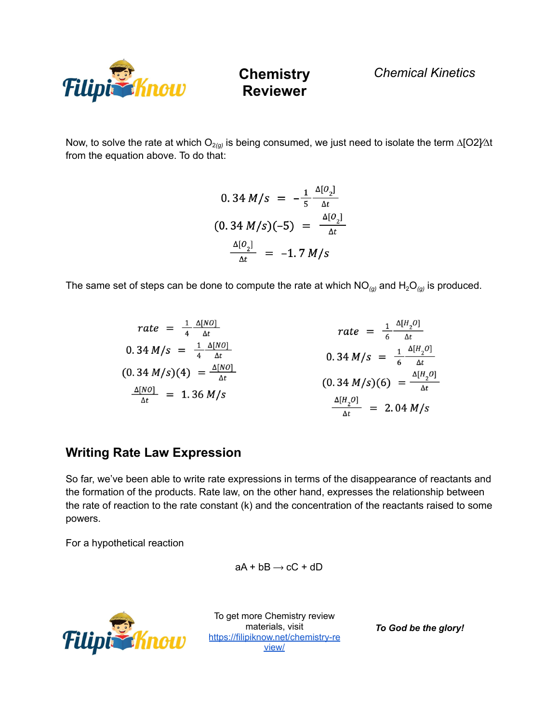

*Chemical Kinetics*

Now, to solve the rate at which O<sub>2(g)</sub> is being consumed, we just need to isolate the term ∆[O2}⁄∆t from the equation above. To do that:

$$
0.34 M/s = -\frac{1}{5} \frac{\Delta[O_2]}{\Delta t}
$$
  

$$
(0.34 M/s)(-5) = \frac{\Delta[O_2]}{\Delta t}
$$
  

$$
\frac{\Delta[O_2]}{\Delta t} = -1.7 M/s
$$

The same set of steps can be done to compute the rate at which  $NO_{(g)}$  and  $H_2O_{(g)}$  is produced.

$$
rate = \frac{1}{4} \frac{\Delta[NO]}{\Delta t}
$$
  
\n
$$
0.34 M/s = \frac{1}{4} \frac{\Delta[NO]}{\Delta t}
$$
  
\n
$$
(0.34 M/s)(4) = \frac{\Delta[NO]}{\Delta t}
$$
  
\n
$$
\frac{\Delta[NO]}{\Delta t} = 1.36 M/s
$$
  
\n
$$
\frac{\Delta[H_2O]}{\Delta t} = 2.04 M/s
$$

#### **Writing Rate Law Expression**

So far, we've been able to write rate expressions in terms of the disappearance of reactants and the formation of the products. Rate law, on the other hand, expresses the relationship between the rate of reaction to the rate constant (k) and the concentration of the reactants raised to some powers.

For a hypothetical reaction

$$
aA + bB \rightarrow cC + dD
$$



To get more Chemistry review materials, visit [https://filipiknow.net/chemistry-re](https://filipiknow.net/chemistry-review/) [view/](https://filipiknow.net/chemistry-review/)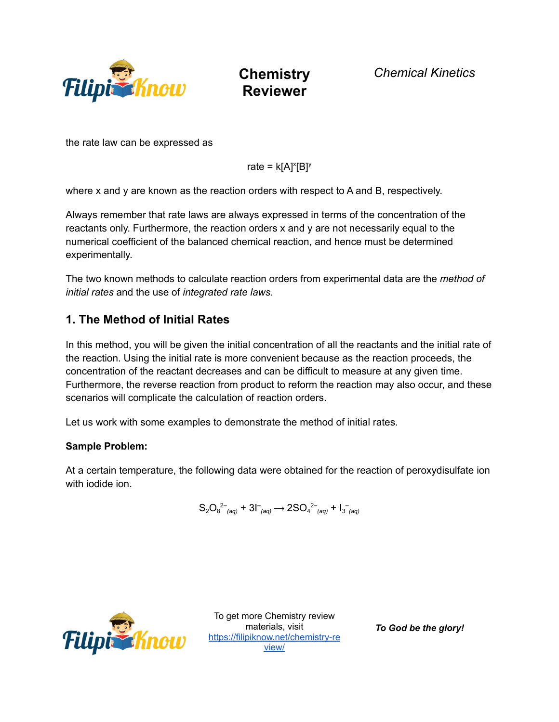

*Chemical Kinetics*

the rate law can be expressed as

rate =  $k[A]^x[B]^y$ 

where x and y are known as the reaction orders with respect to A and B, respectively.

Always remember that rate laws are always expressed in terms of the concentration of the reactants only. Furthermore, the reaction orders x and y are not necessarily equal to the numerical coefficient of the balanced chemical reaction, and hence must be determined experimentally.

The two known methods to calculate reaction orders from experimental data are the *method of initial rates* and the use of *integrated rate laws*.

### **1. The Method of Initial Rates**

In this method, you will be given the initial concentration of all the reactants and the initial rate of the reaction. Using the initial rate is more convenient because as the reaction proceeds, the concentration of the reactant decreases and can be difficult to measure at any given time. Furthermore, the reverse reaction from product to reform the reaction may also occur, and these scenarios will complicate the calculation of reaction orders.

Let us work with some examples to demonstrate the method of initial rates.

#### **Sample Problem:**

At a certain temperature, the following data were obtained for the reaction of peroxydisulfate ion with iodide ion.

$$
S_2O_8^{2-}{}_{(aq)} + 3I^-_{(aq)} \rightarrow 2SO_4^{2-}{}_{(aq)} + I_3^-_{(aq)}
$$



To get more Chemistry review materials, visit [https://filipiknow.net/chemistry-re](https://filipiknow.net/chemistry-review/) [view/](https://filipiknow.net/chemistry-review/)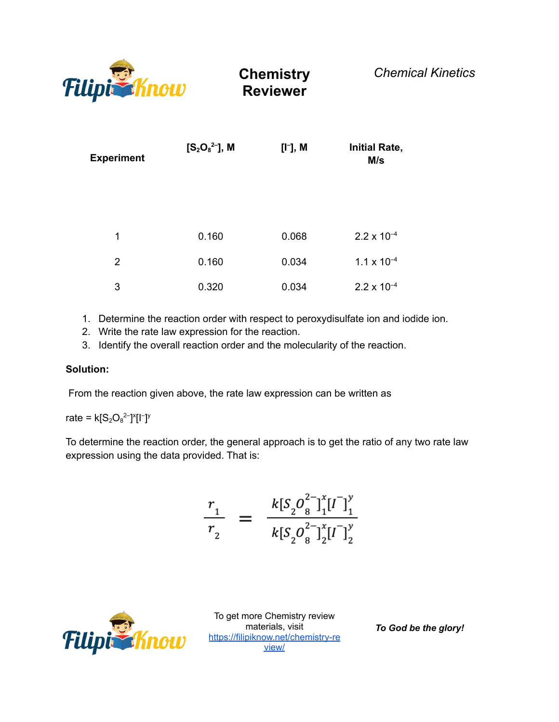

| <b>Experiment</b> | $[S_2O_8^{2-}]$ , M | [I <sup>-</sup> ], M | <b>Initial Rate,</b><br>M/s |
|-------------------|---------------------|----------------------|-----------------------------|
| 1                 | 0.160               | 0.068                | $2.2 \times 10^{-4}$        |
| 2                 | 0.160               | 0.034                | $1.1 \times 10^{-4}$        |
| 3                 | 0.320               | 0.034                | $2.2 \times 10^{-4}$        |

- 1. Determine the reaction order with respect to peroxydisulfate ion and iodide ion.
- 2. Write the rate law expression for the reaction.
- 3. Identify the overall reaction order and the molecularity of the reaction.

#### **Solution:**

From the reaction given above, the rate law expression can be written as

rate =  $k[S_2O_8^2]^{x}[1^-]^y$ 

To determine the reaction order, the general approach is to get the ratio of any two rate law expression using the data provided. That is:

$$
\frac{r_1}{r_2} = \frac{k[S_2O_8^{2-}]_1^x[I^-]_1^y}{k[S_2O_8^{2-}]_2^x[I^-]_2^y}
$$



To get more Chemistry review materials, visit [https://filipiknow.net/chemistry-re](https://filipiknow.net/chemistry-review/) [view/](https://filipiknow.net/chemistry-review/)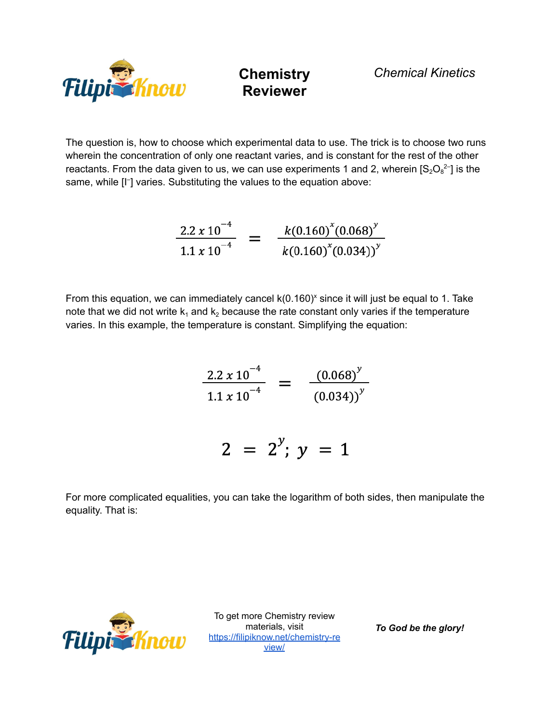

The question is, how to choose which experimental data to use. The trick is to choose two runs wherein the concentration of only one reactant varies, and is constant for the rest of the other reactants. From the data given to us, we can use experiments 1 and 2, wherein  $[S_2O_8^2]$  is the same, while [I<sup>-</sup>] varies. Substituting the values to the equation above:

$$
\frac{2.2 \times 10^{-4}}{1.1 \times 10^{-4}} = \frac{k(0.160)^{x}(0.068)^{y}}{k(0.160)^{x}(0.034)^{y}}
$$

From this equation, we can immediately cancel k(0.160)<sup>x</sup> since it will just be equal to 1. Take note that we did not write  $k_1$  and  $k_2$  because the rate constant only varies if the temperature varies. In this example, the temperature is constant. Simplifying the equation:

$$
\frac{2.2 \times 10^{-4}}{1.1 \times 10^{-4}} = \frac{(0.068)^{y}}{(0.034)^{y}}
$$

 $2 = 2^{y}$ ;  $y = 1$ 

For more complicated equalities, you can take the logarithm of both sides, then manipulate the equality. That is:



To get more Chemistry review materials, visit [https://filipiknow.net/chemistry-re](https://filipiknow.net/chemistry-review/) [view/](https://filipiknow.net/chemistry-review/)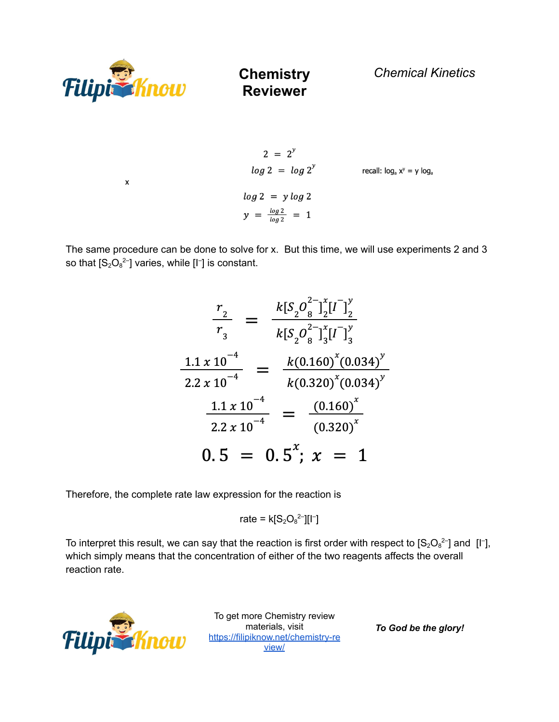

 $\pmb{\mathsf{x}}$ 

**Chemistry Reviewer**

*Chemical Kinetics*

$$
2 = 2^{y}
$$
  
\n
$$
log 2 = log 2^{y}
$$
  
\n
$$
log 2 = y log 2
$$
  
\n
$$
y = \frac{log 2}{log 2} = 1
$$
  
\n
$$
log 2 = 1
$$

The same procedure can be done to solve for x. But this time, we will use experiments 2 and 3 so that  $[S_2O_8^2]$  varies, while  $[I^-]$  is constant.

$$
\frac{r_2}{r_3} = \frac{k[S_2O_8^{2-1}][I^2]{x_2}}{k[S_2O_8^{2-1}][I^2]{x_3}}
$$
  

$$
\frac{1.1 \times 10^{-4}}{2.2 \times 10^{-4}} = \frac{k(0.160)^x(0.034)^y}{k(0.320)^x(0.034)^y}
$$
  

$$
\frac{1.1 \times 10^{-4}}{2.2 \times 10^{-4}} = \frac{(0.160)^x}{(0.320)^x}
$$
  

$$
0.5 = 0.5^x; x = 1
$$

Therefore, the complete rate law expression for the reaction is

rate = 
$$
k[S_2O_8^{2-}][1^-]
$$

To interpret this result, we can say that the reaction is first order with respect to  $[S_2O_8^2]$  and [I<sup>-</sup>], which simply means that the concentration of either of the two reagents affects the overall reaction rate.



To get more Chemistry review io get more Chemistry<br>materials, visit<br>https://filiniknews [https://filipiknow.net/chemistry-re](https://filipiknow.net/chemistry-review/) [view/](https://filipiknow.net/chemistry-review/)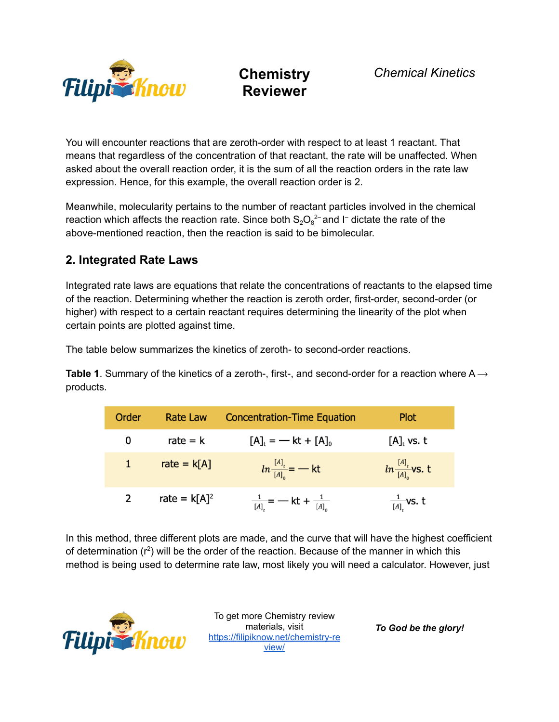

You will encounter reactions that are zeroth-order with respect to at least 1 reactant. That means that regardless of the concentration of that reactant, the rate will be unaffected. When asked about the overall reaction order, it is the sum of all the reaction orders in the rate law expression. Hence, for this example, the overall reaction order is 2.

Meanwhile, molecularity pertains to the number of reactant particles involved in the chemical reaction which affects the reaction rate. Since both  $S_2O_8^{2-}$  and I<sup>-</sup> dictate the rate of the above-mentioned reaction, then the reaction is said to be bimolecular.

### **2. Integrated Rate Laws**

Integrated rate laws are equations that relate the concentrations of reactants to the elapsed time of the reaction. Determining whether the reaction is zeroth order, first-order, second-order (or higher) with respect to a certain reactant requires determining the linearity of the plot when certain points are plotted against time.

The table below summarizes the kinetics of zeroth- to second-order reactions.

**Table 1.** Summary of the kinetics of a zeroth-, first-, and second-order for a reaction where  $A \rightarrow$ products.

| Order        | Rate Law        | <b>Concentration-Time Equation</b>           | <b>Plot</b>                    |
|--------------|-----------------|----------------------------------------------|--------------------------------|
| 0            | rate $=$ k      | $[A]_t = -kt + [A]_0$                        | $[A]_t$ vs. t                  |
| $\mathbf{1}$ | rate = $k[A]$   | $ln \frac{[A]_t}{[A]_0}$ = $-$ kt            | $ln \frac{[A]_t}{[A]_0}$ vs. t |
| $\mathbf{2}$ | rate = $k[A]^2$ | $\frac{1}{[A]_r}$ = - kt + $\frac{1}{[A]_0}$ | $\frac{1}{[A]_t}$ vs. t        |

In this method, three different plots are made, and the curve that will have the highest coefficient of determination  $(r^2)$  will be the order of the reaction. Because of the manner in which this method is being used to determine rate law, most likely you will need a calculator. However, just



To get more Chemistry review materials, visit [https://filipiknow.net/chemistry-re](https://filipiknow.net/chemistry-review/) [view/](https://filipiknow.net/chemistry-review/)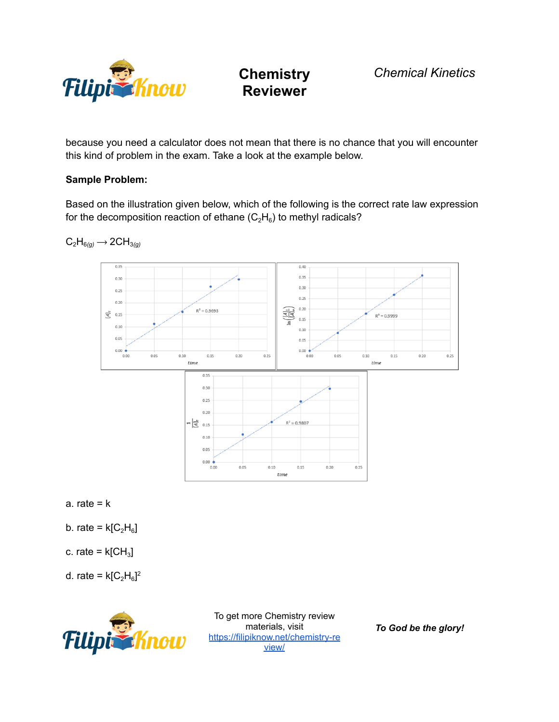

because you need a calculator does not mean that there is no chance that you will encounter this kind of problem in the exam. Take a look at the example below.

#### **Sample Problem:**

Based on the illustration given below, which of the following is the correct rate law expression for the decomposition reaction of ethane ( $\rm{C_2H_6}$ ) to methyl radicals?



 $C_2H_{6(q)} \longrightarrow 2CH_{3(q)}$ 



- b. rate =  $k[C_2H_6]$
- c. rate =  $k[CH<sub>3</sub>]$
- d. rate =  $k[C_2H_6]^2$



To get more Chemistry review materials, visit [https://filipiknow.net/chemistry-re](https://filipiknow.net/chemistry-review/) [view/](https://filipiknow.net/chemistry-review/)